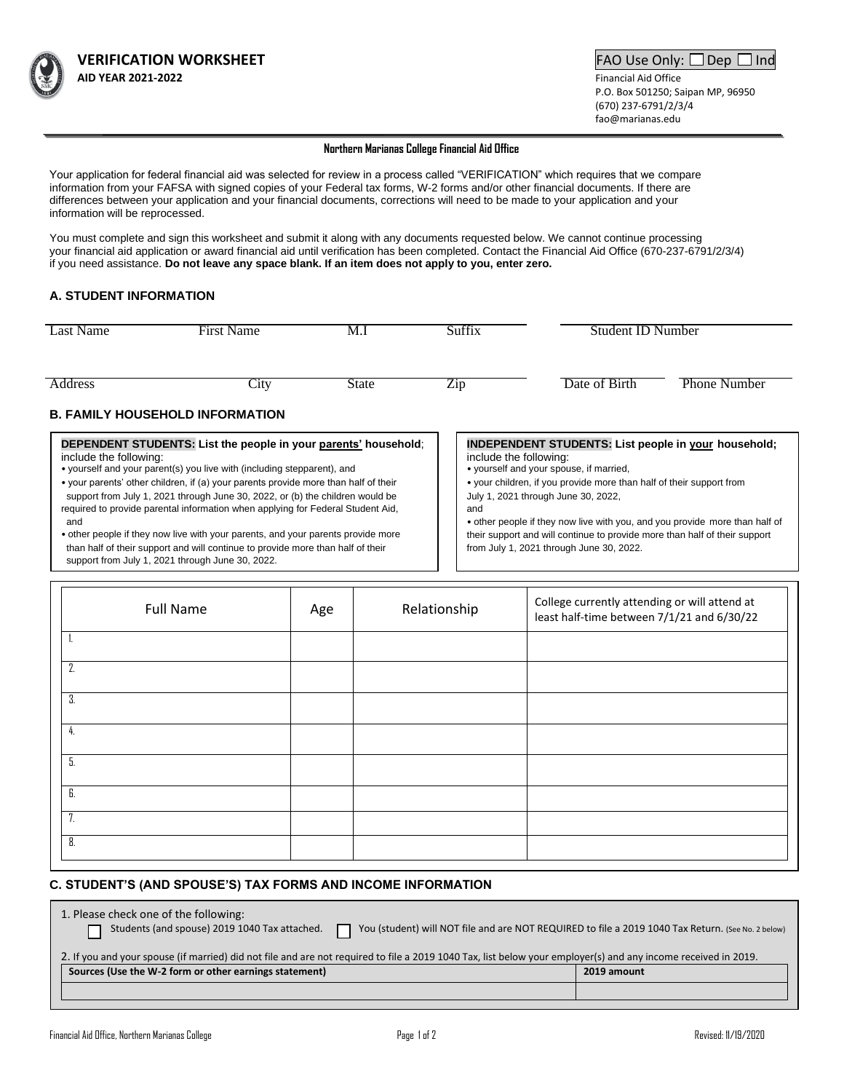

 P.O. Box 501250; Saipan MP, 96950 (670) 237-6791/2/3/4 fao@marianas.edu

#### **Northern Marianas College Financial Aid Office**

Your application for federal financial aid was selected for review in a process called "VERIFICATION" which requires that we compare information from your FAFSA with signed copies of your Federal tax forms, W-2 forms and/or other financial documents. If there are differences between your application and your financial documents, corrections will need to be made to your application and your information will be reprocessed.

You must complete and sign this worksheet and submit it along with any documents requested below. We cannot continue processing your financial aid application or award financial aid until verification has been completed. Contact the Financial Aid Office (670-237-6791/2/3/4) if you need assistance. **Do not leave any space blank. If an item does not apply to you, enter zero.**

## **A. STUDENT INFORMATION**

| Last Name                                                                                 | <b>First Name</b>                      | M.I          | Suffix                 | Student ID Number                                           |                     |
|-------------------------------------------------------------------------------------------|----------------------------------------|--------------|------------------------|-------------------------------------------------------------|---------------------|
| <b>Address</b>                                                                            | City                                   | <b>State</b> | Zip                    | Date of Birth                                               | <b>Phone Number</b> |
|                                                                                           | <b>B. FAMILY HOUSEHOLD INFORMATION</b> |              |                        |                                                             |                     |
| DEPENDENT STUDENTS: List the people in your parents' household:<br>include the following: |                                        |              | include the following: | <b>INDEPENDENT STUDENTS: List people in your household;</b> |                     |

• yourself and your parent(s) you live with (including stepparent), and

• your parents' other children, if (a) your parents provide more than half of their support from July 1, 2021 through June 30, 2022, or (b) the children would be required to provide parental information when applying for Federal Student Aid, and

• other people if they now live with your parents, and your parents provide more than half of their support and will continue to provide more than half of their support from July 1, 2021 through June 30, 2022.

- yourself and your spouse, if married,
- your children, if you provide more than half of their support from July 1, 2021 through June 30, 2022,
- and

• other people if they now live with you, and you provide more than half of their support and will continue to provide more than half of their support from July 1, 2021 through June 30, 2022.

| <b>Full Name</b> | Age | Relationship | College currently attending or will attend at<br>least half-time between 7/1/21 and 6/30/22 |
|------------------|-----|--------------|---------------------------------------------------------------------------------------------|
|                  |     |              |                                                                                             |
| 2.               |     |              |                                                                                             |
| 3.               |     |              |                                                                                             |
| 4.               |     |              |                                                                                             |
| 5.               |     |              |                                                                                             |
| 6.               |     |              |                                                                                             |
| 7.               |     |              |                                                                                             |
| 8.               |     |              |                                                                                             |

### **C. STUDENT'S (AND SPOUSE'S) TAX FORMS AND INCOME INFORMATION**

| 1. Please check one of the following:<br>Students (and spouse) 2019 1040 Tax attached.<br>You (student) will NOT file and are NOT REQUIRED to file a 2019 1040 Tax Return. (See No. 2 below) |             |  |  |  |
|----------------------------------------------------------------------------------------------------------------------------------------------------------------------------------------------|-------------|--|--|--|
| 2. If you and your spouse (if married) did not file and are not required to file a 2019 1040 Tax, list below your employer(s) and any income received in 2019.                               |             |  |  |  |
| Sources (Use the W-2 form or other earnings statement)                                                                                                                                       | 2019 amount |  |  |  |
|                                                                                                                                                                                              |             |  |  |  |